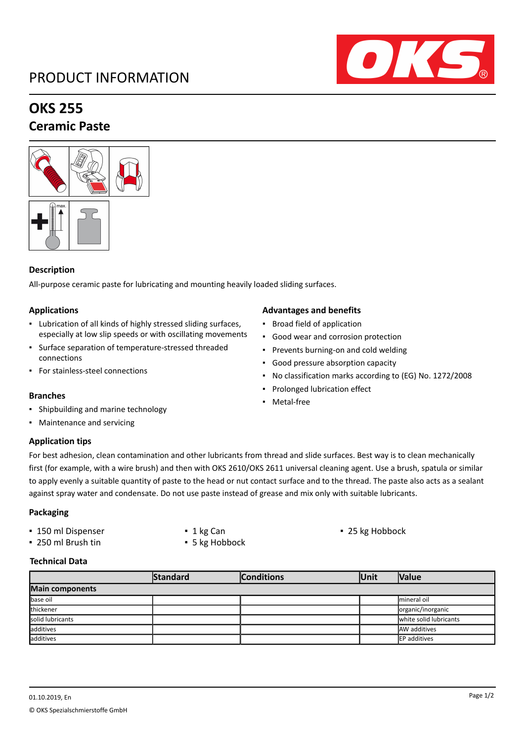# PRODUCT INFORMATION



# **OKS 255**

## **Ceramic Paste**



#### **Description**

All-purpose ceramic paste for lubricating and mounting heavily loaded sliding surfaces.

#### **Applications**

- Lubrication of all kinds of highly stressed sliding surfaces, especially at low slip speeds or with oscillating movements
- Surface separation of temperature-stressed threaded connections
- For stainless-steel connections

- Shipbuilding and marine technology
- Maintenance and servicing

### **Application tips**

For best adhesion, clean contamination and other lubricants from thread and slide surfaces. Best way is to clean mechanically first (for example, with a wire brush) and then with OKS 2610/OKS 2611 universal cleaning agent. Use a brush, spatula or similar to apply evenly a suitable quantity of paste to the head or nut contact surface and to the thread. The paste also acts as a sealant against spray water and condensate. Do not use paste instead of grease and mix only with suitable lubricants.

#### **Packaging**

- 150 ml Dispenser 1 kg Can 1 kg Can 25 kg Hobbock
- 250 ml Brush tin 5 kg Hobbock
- 
- 

#### **Technical Data**

|                  | Standard | <b>Conditions</b> | lUnit | <b>Nalue</b>           |  |  |
|------------------|----------|-------------------|-------|------------------------|--|--|
| Main components  |          |                   |       |                        |  |  |
| base oil         |          |                   |       | Imineral oil           |  |  |
| thickener        |          |                   |       | organic/inorganic      |  |  |
| solid lubricants |          |                   |       | white solid lubricants |  |  |
| additives        |          |                   |       | <b>AW</b> additives    |  |  |
| additives        |          |                   |       | EP additives           |  |  |

#### **Advantages and benefits**

- Broad field of application
- Good wear and corrosion protection
- Prevents burning-on and cold welding
- Good pressure absorption capacity
- No classification marks according to (EG) No. 1272/2008
- Prolonged lubrication effect
- **Branches Branches Branches Branches Branches Branches Branches Branches Branches Branches Branches Branches Branches Branches Branches Branches Branches Branches Branches Branches B**